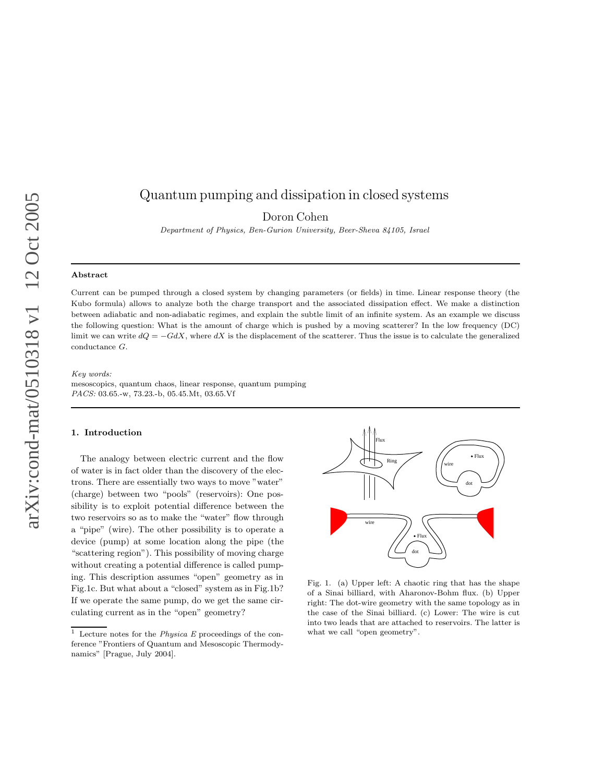# Quantum pumping and dissipation in closed systems

Doron Cohen

Department of Physics, Ben-Gurion University, Beer-Sheva 84105, Israel

#### Abstract

Current can be pumped through a closed system by changing parameters (or fields) in time. Linear response theory (the Kubo formula) allows to analyze both the charge transport and the associated dissipation effect. We make a distinction between adiabatic and non-adiabatic regimes, and explain the subtle limit of an infinite system. As an example we discuss the following question: What is the amount of charge which is pushed by a moving scatterer? In the low frequency (DC) limit we can write  $dQ = -GdX$ , where dX is the displacement of the scatterer. Thus the issue is to calculate the generalized conductance G.

#### Key words:

mesoscopics, quantum chaos, linear response, quantum pumping PACS: 03.65.-w, 73.23.-b, 05.45.Mt, 03.65.Vf

### 1. Introduction

The analogy between electric current and the flow of water is in fact older than the discovery of the electrons. There are essentially two ways to move "water" (charge) between two "pools" (reservoirs): One possibility is to exploit potential difference between the two reservoirs so as to make the "water" flow through a "pipe" (wire). The other possibility is to operate a device (pump) at some location along the pipe (the "scattering region"). This possibility of moving charge without creating a potential difference is called pumping. This description assumes "open" geometry as in Fig.1c. But what about a "closed" system as in Fig.1b? If we operate the same pump, do we get the same circulating current as in the "open" geometry?



Fig. 1. (a) Upper left: A chaotic ring that has the shape of a Sinai billiard, with Aharonov-Bohm flux. (b) Upper right: The dot-wire geometry with the same topology as in the case of the Sinai billiard. (c) Lower: The wire is cut into two leads that are attached to reservoirs. The latter is what we call "open geometry".

<sup>&</sup>lt;sup>1</sup> Lecture notes for the *Physica E* proceedings of the conference "Frontiers of Quantum and Mesoscopic Thermodynamics" [Prague, July 2004].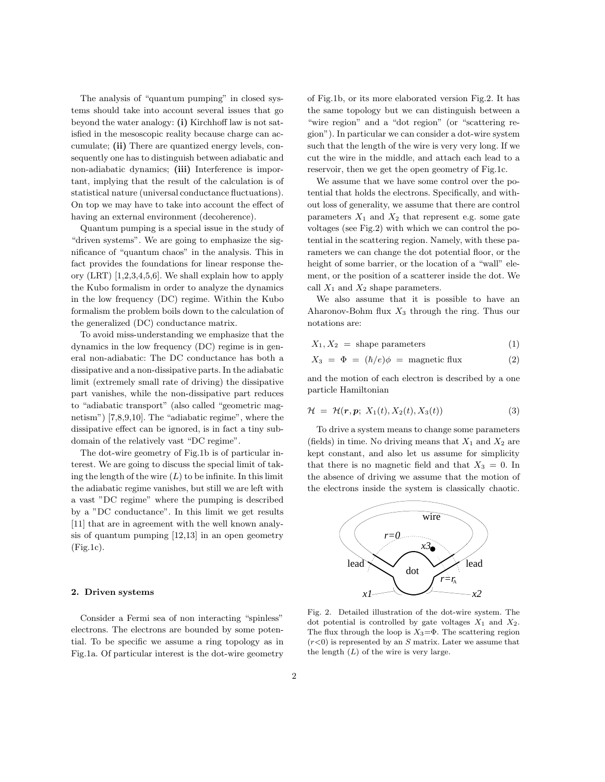The analysis of "quantum pumping" in closed systems should take into account several issues that go beyond the water analogy: (i) Kirchhoff law is not satisfied in the mesoscopic reality because charge can accumulate; (ii) There are quantized energy levels, consequently one has to distinguish between adiabatic and non-adiabatic dynamics; (iii) Interference is important, implying that the result of the calculation is of statistical nature (universal conductance fluctuations). On top we may have to take into account the effect of having an external environment (decoherence).

Quantum pumping is a special issue in the study of "driven systems". We are going to emphasize the significance of "quantum chaos" in the analysis. This in fact provides the foundations for linear response theory (LRT) [1,2,3,4,5,6]. We shall explain how to apply the Kubo formalism in order to analyze the dynamics in the low frequency (DC) regime. Within the Kubo formalism the problem boils down to the calculation of the generalized (DC) conductance matrix.

To avoid miss-understanding we emphasize that the dynamics in the low frequency (DC) regime is in general non-adiabatic: The DC conductance has both a dissipative and a non-dissipative parts. In the adiabatic limit (extremely small rate of driving) the dissipative part vanishes, while the non-dissipative part reduces to "adiabatic transport" (also called "geometric magnetism") [7,8,9,10]. The "adiabatic regime", where the dissipative effect can be ignored, is in fact a tiny subdomain of the relatively vast "DC regime".

The dot-wire geometry of Fig.1b is of particular interest. We are going to discuss the special limit of taking the length of the wire  $(L)$  to be infinite. In this limit the adiabatic regime vanishes, but still we are left with a vast "DC regime" where the pumping is described by a "DC conductance". In this limit we get results [11] that are in agreement with the well known analysis of quantum pumping [12,13] in an open geometry (Fig.1c).

#### 2. Driven systems

Consider a Fermi sea of non interacting "spinless" electrons. The electrons are bounded by some potential. To be specific we assume a ring topology as in Fig.1a. Of particular interest is the dot-wire geometry

of Fig.1b, or its more elaborated version Fig.2. It has the same topology but we can distinguish between a "wire region" and a "dot region" (or "scattering region"). In particular we can consider a dot-wire system such that the length of the wire is very very long. If we cut the wire in the middle, and attach each lead to a reservoir, then we get the open geometry of Fig.1c.

We assume that we have some control over the potential that holds the electrons. Specifically, and without loss of generality, we assume that there are control parameters  $X_1$  and  $X_2$  that represent e.g. some gate voltages (see Fig.2) with which we can control the potential in the scattering region. Namely, with these parameters we can change the dot potential floor, or the height of some barrier, or the location of a "wall" element, or the position of a scatterer inside the dot. We call  $X_1$  and  $X_2$  shape parameters.

We also assume that it is possible to have an Aharonov-Bohm flux  $X_3$  through the ring. Thus our notations are:

$$
X_1, X_2 = \text{shape parameters} \tag{1}
$$

$$
X_3 = \Phi = (\hbar/e)\phi = \text{magnetic flux} \tag{2}
$$

and the motion of each electron is described by a one particle Hamiltonian

$$
\mathcal{H} = \mathcal{H}(\boldsymbol{r}, \boldsymbol{p}; X_1(t), X_2(t), X_3(t)) \tag{3}
$$

To drive a system means to change some parameters (fields) in time. No driving means that  $X_1$  and  $X_2$  are kept constant, and also let us assume for simplicity that there is no magnetic field and that  $X_3 = 0$ . In the absence of driving we assume that the motion of the electrons inside the system is classically chaotic.



Fig. 2. Detailed illustration of the dot-wire system. The dot potential is controlled by gate voltages  $X_1$  and  $X_2$ . The flux through the loop is  $X_3 = \Phi$ . The scattering region  $(r<0)$  is represented by an S matrix. Later we assume that the length  $(L)$  of the wire is very large.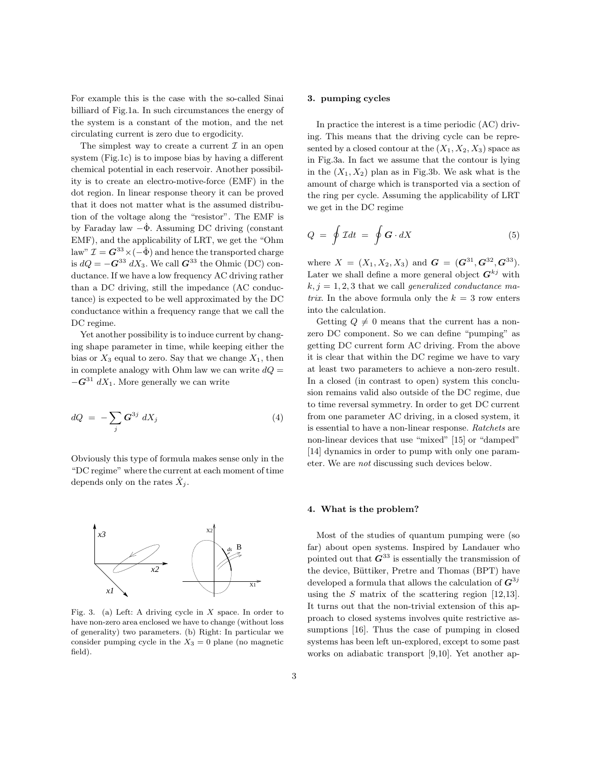For example this is the case with the so-called Sinai billiard of Fig.1a. In such circumstances the energy of the system is a constant of the motion, and the net circulating current is zero due to ergodicity.

The simplest way to create a current  $\mathcal I$  in an open system (Fig.1c) is to impose bias by having a different chemical potential in each reservoir. Another possibility is to create an electro-motive-force (EMF) in the dot region. In linear response theory it can be proved that it does not matter what is the assumed distribution of the voltage along the "resistor". The EMF is by Faraday law  $-\dot{\Phi}$ . Assuming DC driving (constant EMF), and the applicability of LRT, we get the "Ohm law"  $\mathcal{I} = G^{33} \times (-\dot{\Phi})$  and hence the transported charge is  $dQ = -G^{33} dX_3$ . We call  $G^{33}$  the Ohmic (DC) conductance. If we have a low frequency AC driving rather than a DC driving, still the impedance (AC conductance) is expected to be well approximated by the DC conductance within a frequency range that we call the DC regime.

Yet another possibility is to induce current by changing shape parameter in time, while keeping either the bias or  $X_3$  equal to zero. Say that we change  $X_1$ , then in complete analogy with Ohm law we can write  $dQ =$  $-\boldsymbol{G}^{31} dX_1$ . More generally we can write

$$
dQ = -\sum_{j} \mathbf{G}^{3j} dX_j \tag{4}
$$

Obviously this type of formula makes sense only in the "DC regime" where the current at each moment of time depends only on the rates  $\dot{X}_j$ .



Fig. 3. (a) Left: A driving cycle in  $X$  space. In order to have non-zero area enclosed we have to change (without loss of generality) two parameters. (b) Right: In particular we consider pumping cycle in the  $X_3 = 0$  plane (no magnetic field).

# 3. pumping cycles

In practice the interest is a time periodic (AC) driving. This means that the driving cycle can be represented by a closed contour at the  $(X_1, X_2, X_3)$  space as in Fig.3a. In fact we assume that the contour is lying in the  $(X_1, X_2)$  plan as in Fig.3b. We ask what is the amount of charge which is transported via a section of the ring per cycle. Assuming the applicability of LRT we get in the DC regime

$$
Q = \oint \mathcal{I}dt = \oint \mathbf{G} \cdot dX \tag{5}
$$

where  $X = (X_1, X_2, X_3)$  and  $G = (G^{31}, G^{32}, G^{33})$ . Later we shall define a more general object  $G^{kj}$  with  $k, j = 1, 2, 3$  that we call generalized conductance matrix. In the above formula only the  $k = 3$  row enters into the calculation.

Getting  $Q \neq 0$  means that the current has a nonzero DC component. So we can define "pumping" as getting DC current form AC driving. From the above it is clear that within the DC regime we have to vary at least two parameters to achieve a non-zero result. In a closed (in contrast to open) system this conclusion remains valid also outside of the DC regime, due to time reversal symmetry. In order to get DC current from one parameter AC driving, in a closed system, it is essential to have a non-linear response. Ratchets are non-linear devices that use "mixed" [15] or "damped" [14] dynamics in order to pump with only one parameter. We are not discussing such devices below.

#### 4. What is the problem?

Most of the studies of quantum pumping were (so far) about open systems. Inspired by Landauer who pointed out that  $G^{33}$  is essentially the transmission of the device, Büttiker, Pretre and Thomas (BPT) have developed a formula that allows the calculation of  $G^{3j}$ using the  $S$  matrix of the scattering region [12,13]. It turns out that the non-trivial extension of this approach to closed systems involves quite restrictive assumptions [16]. Thus the case of pumping in closed systems has been left un-explored, except to some past works on adiabatic transport [9,10]. Yet another ap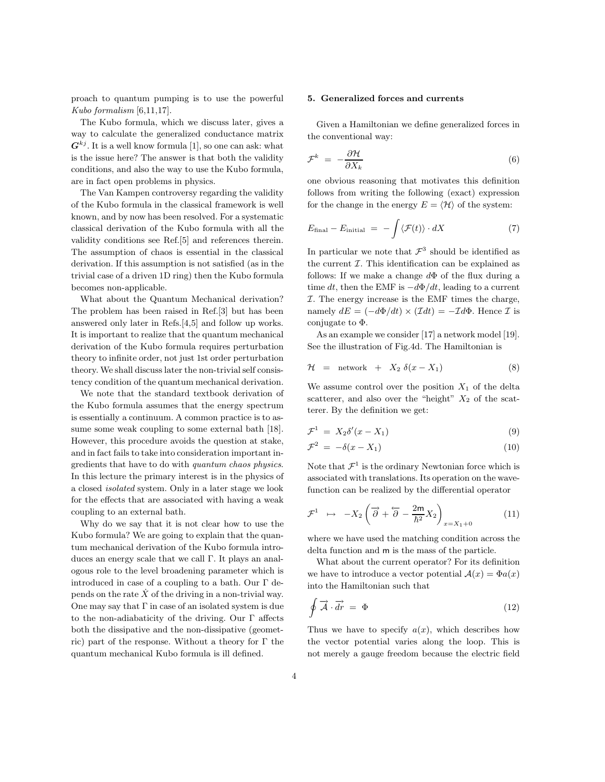proach to quantum pumping is to use the powerful Kubo formalism [6,11,17].

The Kubo formula, which we discuss later, gives a way to calculate the generalized conductance matrix  $G^{kj}$ . It is a well know formula [1], so one can ask: what is the issue here? The answer is that both the validity conditions, and also the way to use the Kubo formula, are in fact open problems in physics.

The Van Kampen controversy regarding the validity of the Kubo formula in the classical framework is well known, and by now has been resolved. For a systematic classical derivation of the Kubo formula with all the validity conditions see Ref.[5] and references therein. The assumption of chaos is essential in the classical derivation. If this assumption is not satisfied (as in the trivial case of a driven 1D ring) then the Kubo formula becomes non-applicable.

What about the Quantum Mechanical derivation? The problem has been raised in Ref.[3] but has been answered only later in Refs.[4,5] and follow up works. It is important to realize that the quantum mechanical derivation of the Kubo formula requires perturbation theory to infinite order, not just 1st order perturbation theory. We shall discuss later the non-trivial self consistency condition of the quantum mechanical derivation.

We note that the standard textbook derivation of the Kubo formula assumes that the energy spectrum is essentially a continuum. A common practice is to assume some weak coupling to some external bath [18]. However, this procedure avoids the question at stake, and in fact fails to take into consideration important ingredients that have to do with quantum chaos physics. In this lecture the primary interest is in the physics of a closed isolated system. Only in a later stage we look for the effects that are associated with having a weak coupling to an external bath.

Why do we say that it is not clear how to use the Kubo formula? We are going to explain that the quantum mechanical derivation of the Kubo formula introduces an energy scale that we call Γ. It plays an analogous role to the level broadening parameter which is introduced in case of a coupling to a bath. Our  $\Gamma$  depends on the rate  $X$  of the driving in a non-trivial way. One may say that  $\Gamma$  in case of an isolated system is due to the non-adiabaticity of the driving. Our Γ affects both the dissipative and the non-dissipative (geometric) part of the response. Without a theory for  $\Gamma$  the quantum mechanical Kubo formula is ill defined.

#### 5. Generalized forces and currents

Given a Hamiltonian we define generalized forces in the conventional way:

$$
\mathcal{F}^k = -\frac{\partial \mathcal{H}}{\partial X_k} \tag{6}
$$

one obvious reasoning that motivates this definition follows from writing the following (exact) expression for the change in the energy  $E = \langle \mathcal{H} \rangle$  of the system:

$$
E_{\text{final}} - E_{\text{initial}} = -\int \langle \mathcal{F}(t) \rangle \cdot dX \tag{7}
$$

In particular we note that  $\mathcal{F}^3$  should be identified as the current  $\mathcal I$ . This identification can be explained as follows: If we make a change  $d\Phi$  of the flux during a time dt, then the EMF is  $-d\Phi/dt$ , leading to a current  $I$ . The energy increase is the EMF times the charge, namely  $dE = (-d\Phi/dt) \times (\mathcal{I}dt) = -\mathcal{I}d\Phi$ . Hence  $\mathcal{I}$  is conjugate to Φ.

As an example we consider [17] a network model [19]. See the illustration of Fig.4d. The Hamiltonian is

$$
\mathcal{H} = \text{network} + X_2 \delta(x - X_1) \tag{8}
$$

We assume control over the position  $X_1$  of the delta scatterer, and also over the "height"  $X_2$  of the scatterer. By the definition we get:

$$
\mathcal{F}^1 = X_2 \delta'(x - X_1) \tag{9}
$$

$$
\mathcal{F}^2 = -\delta(x - X_1) \tag{10}
$$

Note that  $\mathcal{F}^1$  is the ordinary Newtonian force which is associated with translations. Its operation on the wavefunction can be realized by the differential operator

$$
\mathcal{F}^1 \quad \mapsto \quad -X_2 \left( \overrightarrow{\partial} + \overleftarrow{\partial} - \frac{2\mathsf{m}}{\hbar^2} X_2 \right)_{x = X_1 + 0} \tag{11}
$$

where we have used the matching condition across the delta function and m is the mass of the particle.

What about the current operator? For its definition we have to introduce a vector potential  $\mathcal{A}(x) = \Phi a(x)$ into the Hamiltonian such that

$$
\oint \vec{\mathcal{A}} \cdot \vec{dr} = \Phi \tag{12}
$$

Thus we have to specify  $a(x)$ , which describes how the vector potential varies along the loop. This is not merely a gauge freedom because the electric field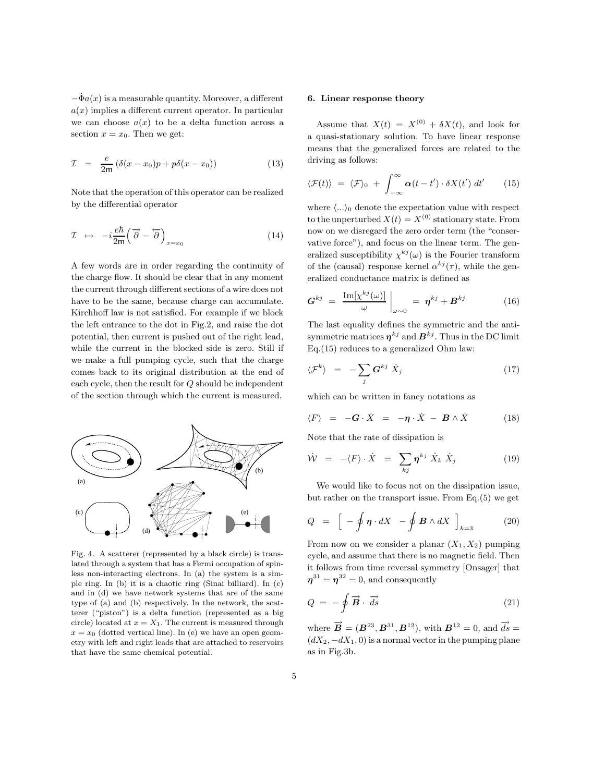$-\dot{\Phi}_a(x)$  is a measurable quantity. Moreover, a different  $a(x)$  implies a different current operator. In particular we can choose  $a(x)$  to be a delta function across a section  $x = x_0$ . Then we get:

$$
\mathcal{I} = \frac{e}{2m} \left( \delta(x - x_0) p + p \delta(x - x_0) \right) \tag{13}
$$

Note that the operation of this operator can be realized by the differential operator

$$
\mathcal{I} \rightarrow -i\frac{e\hbar}{2m} \left(\overrightarrow{\partial} - \overleftarrow{\partial}\right)_{x=x_0} \tag{14}
$$

A few words are in order regarding the continuity of the charge flow. It should be clear that in any moment the current through different sections of a wire does not have to be the same, because charge can accumulate. Kirchhoff law is not satisfied. For example if we block the left entrance to the dot in Fig.2, and raise the dot potential, then current is pushed out of the right lead, while the current in the blocked side is zero. Still if we make a full pumping cycle, such that the charge comes back to its original distribution at the end of each cycle, then the result for Q should be independent of the section through which the current is measured.



Fig. 4. A scatterer (represented by a black circle) is translated through a system that has a Fermi occupation of spinless non-interacting electrons. In (a) the system is a simple ring. In (b) it is a chaotic ring (Sinai billiard). In (c) and in (d) we have network systems that are of the same type of (a) and (b) respectively. In the network, the scatterer ("piston") is a delta function (represented as a big circle) located at  $x = X_1$ . The current is measured through  $x = x_0$  (dotted vertical line). In (e) we have an open geometry with left and right leads that are attached to reservoirs that have the same chemical potential.

# 6. Linear response theory

Assume that  $X(t) = X^{(0)} + \delta X(t)$ , and look for a quasi-stationary solution. To have linear response means that the generalized forces are related to the driving as follows:

$$
\langle \mathcal{F}(t) \rangle = \langle \mathcal{F} \rangle_0 + \int_{-\infty}^{\infty} \alpha(t - t') \cdot \delta X(t') dt' \qquad (15)
$$

where  $\langle \ldots \rangle_0$  denote the expectation value with respect to the unperturbed  $X(t) = X^{(0)}$  stationary state. From now on we disregard the zero order term (the "conservative force"), and focus on the linear term. The generalized susceptibility  $\chi^{kj}(\omega)$  is the Fourier transform of the (causal) response kernel  $\alpha^{kj}(\tau)$ , while the generalized conductance matrix is defined as

$$
G^{kj} = \left. \frac{\text{Im}[\chi^{kj}(\omega)]}{\omega} \right|_{\omega \sim 0} = \eta^{kj} + B^{kj} \tag{16}
$$

The last equality defines the symmetric and the antisymmetric matrices  $\boldsymbol{\eta}^{kj}$  and  $\boldsymbol{B}^{kj}$  . Thus in the DC limit Eq.(15) reduces to a generalized Ohm law:

$$
\langle \mathcal{F}^k \rangle = - \sum_j \mathbf{G}^{kj} \dot{X}_j \tag{17}
$$

which can be written in fancy notations as

$$
\langle F \rangle = -G \cdot \dot{X} = -\eta \cdot \dot{X} - B \wedge \dot{X} \qquad (18)
$$

Note that the rate of dissipation is

$$
\dot{\mathcal{W}} = -\langle F \rangle \cdot \dot{X} = \sum_{kj} \eta^{kj} \dot{X}_k \dot{X}_j \tag{19}
$$

We would like to focus not on the dissipation issue, but rather on the transport issue. From Eq.(5) we get

$$
Q = \left[ -\oint \boldsymbol{\eta} \cdot dX - \oint \boldsymbol{B} \wedge dX \right]_{k=3} \tag{20}
$$

From now on we consider a planar  $(X_1, X_2)$  pumping cycle, and assume that there is no magnetic field. Then it follows from time reversal symmetry [Onsager] that  $\eta^{31} = \eta^{32} = 0$ , and consequently

$$
Q = -\oint \vec{B} \cdot \vec{ds} \tag{21}
$$

where  $\vec{\boldsymbol{B}} = (\boldsymbol{B}^{23}, \boldsymbol{B}^{31}, \boldsymbol{B}^{12})$ , with  $\boldsymbol{B}^{12} = 0$ , and  $\vec{ds} =$  $(dX_2, -dX_1, 0)$  is a normal vector in the pumping plane as in Fig.3b.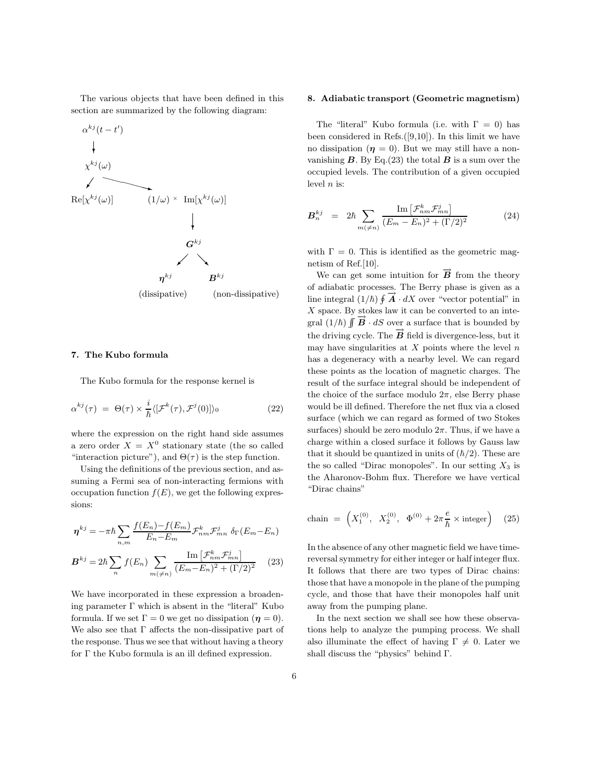The various objects that have been defined in this section are summarized by the following diagram:



# 7. The Kubo formula

The Kubo formula for the response kernel is

$$
\alpha^{kj}(\tau) = \Theta(\tau) \times \frac{i}{\hbar} \langle [\mathcal{F}^k(\tau), \mathcal{F}^j(0)] \rangle_0 \tag{22}
$$

where the expression on the right hand side assumes a zero order  $X = X^0$  stationary state (the so called "interaction picture"), and  $\Theta(\tau)$  is the step function.

Using the definitions of the previous section, and assuming a Fermi sea of non-interacting fermions with occupation function  $f(E)$ , we get the following expressions:

$$
\eta^{kj} = -\pi \hbar \sum_{n,m} \frac{f(E_n) - f(E_m)}{E_n - E_m} \mathcal{F}_{nm}^k \mathcal{F}_{mn}^j \delta_\Gamma(E_m - E_n)
$$

$$
B^{kj} = 2\hbar \sum_n f(E_n) \sum_{m(\neq n)} \frac{\text{Im} \left[ \mathcal{F}_{nm}^k \mathcal{F}_{mn}^j \right]}{(E_m - E_n)^2 + (\Gamma/2)^2} \tag{23}
$$

We have incorporated in these expression a broadening parameter  $\Gamma$  which is absent in the "literal" Kubo formula. If we set  $\Gamma = 0$  we get no dissipation  $(\eta = 0)$ . We also see that  $\Gamma$  affects the non-dissipative part of the response. Thus we see that without having a theory for Γ the Kubo formula is an ill defined expression.

#### 8. Adiabatic transport (Geometric magnetism)

The "literal" Kubo formula (i.e. with  $\Gamma = 0$ ) has been considered in Refs. $([9,10])$ . In this limit we have no dissipation  $(\eta = 0)$ . But we may still have a nonvanishing  $B$ . By Eq.(23) the total  $B$  is a sum over the occupied levels. The contribution of a given occupied level  $n$  is:

$$
\mathbf{B}_n^{kj} = 2\hbar \sum_{m(\neq n)} \frac{\operatorname{Im} \left[ \mathcal{F}_{nm}^k \mathcal{F}_{mn}^j \right]}{(E_m - E_n)^2 + (\Gamma/2)^2} \tag{24}
$$

with  $\Gamma = 0$ . This is identified as the geometric magnetism of Ref.[10].

We can get some intuition for  $\vec{B}$  from the theory of adiabatic processes. The Berry phase is given as a line integral  $(1/\hbar) \oint \vec{A} \cdot dX$  over "vector potential" in  $X$  space. By stokes law it can be converted to an integral  $(1/\hbar)$   $\int \vec{B} \cdot dS$  over a surface that is bounded by the driving cycle. The  $\vec{B}$  field is divergence-less, but it may have singularities at  $X$  points where the level  $n$ has a degeneracy with a nearby level. We can regard these points as the location of magnetic charges. The result of the surface integral should be independent of the choice of the surface modulo  $2\pi$ , else Berry phase would be ill defined. Therefore the net flux via a closed surface (which we can regard as formed of two Stokes surfaces) should be zero modulo  $2\pi$ . Thus, if we have a charge within a closed surface it follows by Gauss law that it should be quantized in units of  $(\hbar/2)$ . These are the so called "Dirac monopoles". In our setting  $X_3$  is the Aharonov-Bohm flux. Therefore we have vertical "Dirac chains"

chain = 
$$
\left(X_1^{(0)}, X_2^{(0)}, \Phi^{(0)} + 2\pi \frac{e}{\hbar} \times \text{integer}\right)
$$
 (25)

In the absence of any other magnetic field we have timereversal symmetry for either integer or half integer flux. It follows that there are two types of Dirac chains: those that have a monopole in the plane of the pumping cycle, and those that have their monopoles half unit away from the pumping plane.

In the next section we shall see how these observations help to analyze the pumping process. We shall also illuminate the effect of having  $\Gamma \neq 0$ . Later we shall discuss the "physics" behind Γ.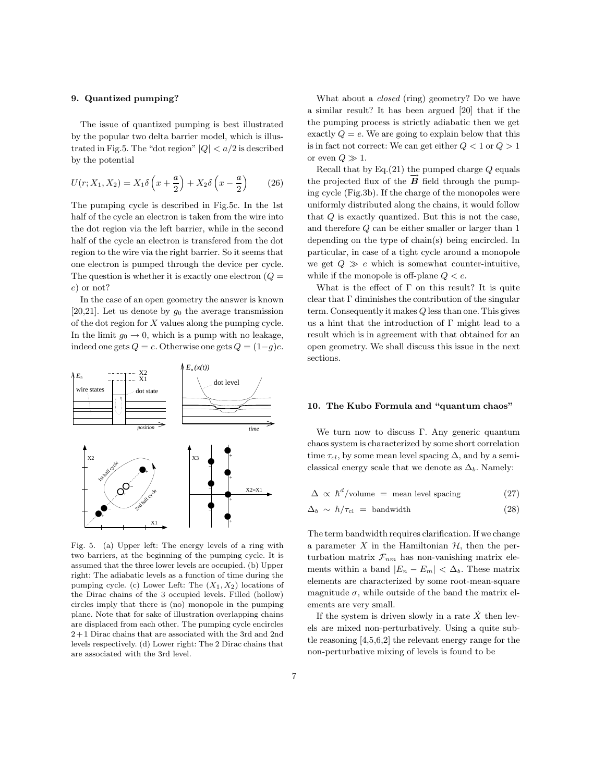#### 9. Quantized pumping?

The issue of quantized pumping is best illustrated by the popular two delta barrier model, which is illustrated in Fig.5. The "dot region"  $|Q| < a/2$  is described by the potential

$$
U(r; X_1, X_2) = X_1 \delta\left(x + \frac{a}{2}\right) + X_2 \delta\left(x - \frac{a}{2}\right) \tag{26}
$$

The pumping cycle is described in Fig.5c. In the 1st half of the cycle an electron is taken from the wire into the dot region via the left barrier, while in the second half of the cycle an electron is transfered from the dot region to the wire via the right barrier. So it seems that one electron is pumped through the device per cycle. The question is whether it is exactly one electron  $(Q =$ e) or not?

In the case of an open geometry the answer is known [20,21]. Let us denote by  $g_0$  the average transmission of the dot region for X values along the pumping cycle. In the limit  $g_0 \to 0$ , which is a pump with no leakage, indeed one gets  $Q = e$ . Otherwise one gets  $Q = (1-q)e$ .



Fig. 5. (a) Upper left: The energy levels of a ring with two barriers, at the beginning of the pumping cycle. It is assumed that the three lower levels are occupied. (b) Upper right: The adiabatic levels as a function of time during the pumping cycle. (c) Lower Left: The  $(X_1, X_2)$  locations of the Dirac chains of the 3 occupied levels. Filled (hollow) circles imply that there is (no) monopole in the pumping plane. Note that for sake of illustration overlapping chains are displaced from each other. The pumping cycle encircles 2+ 1 Dirac chains that are associated with the 3rd and 2nd levels respectively. (d) Lower right: The 2 Dirac chains that are associated with the 3rd level.

What about a closed (ring) geometry? Do we have a similar result? It has been argued [20] that if the the pumping process is strictly adiabatic then we get exactly  $Q = e$ . We are going to explain below that this is in fact not correct: We can get either  $Q < 1$  or  $Q > 1$ or even  $Q \gg 1$ .

Recall that by  $Eq.(21)$  the pumped charge  $Q$  equals the projected flux of the  $\vec{B}$  field through the pumping cycle (Fig.3b). If the charge of the monopoles were uniformly distributed along the chains, it would follow that Q is exactly quantized. But this is not the case, and therefore Q can be either smaller or larger than 1 depending on the type of chain(s) being encircled. In particular, in case of a tight cycle around a monopole we get  $Q \gg e$  which is somewhat counter-intuitive, while if the monopole is off-plane  $Q < e$ .

What is the effect of  $\Gamma$  on this result? It is quite clear that  $\Gamma$  diminishes the contribution of the singular term. Consequently it makes Q less than one. This gives us a hint that the introduction of Γ might lead to a result which is in agreement with that obtained for an open geometry. We shall discuss this issue in the next sections.

#### 10. The Kubo Formula and "quantum chaos"

We turn now to discuss Γ. Any generic quantum chaos system is characterized by some short correlation time  $\tau_{cl}$ , by some mean level spacing  $\Delta$ , and by a semiclassical energy scale that we denote as  $\Delta_b$ . Namely:

$$
\Delta \propto \hbar^d/\text{volume} = \text{mean level spacing} \tag{27}
$$

$$
\Delta_b \sim \hbar / \tau_{\rm cl} = {\rm bandwidth} \tag{28}
$$

The term bandwidth requires clarification. If we change a parameter X in the Hamiltonian  $H$ , then the perturbation matrix  $\mathcal{F}_{nm}$  has non-vanishing matrix elements within a band  $|E_n - E_m| < \Delta_b$ . These matrix elements are characterized by some root-mean-square magnitude  $\sigma$ , while outside of the band the matrix elements are very small.

If the system is driven slowly in a rate  $\dot{X}$  then levels are mixed non-perturbatively. Using a quite subtle reasoning [4,5,6,2] the relevant energy range for the non-perturbative mixing of levels is found to be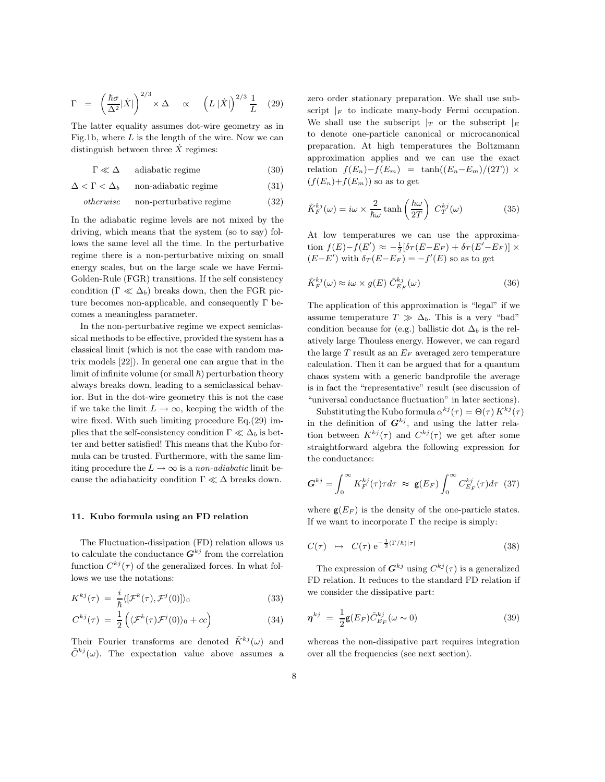$$
\Gamma = \left(\frac{\hbar\sigma}{\Delta^2}|\dot{X}|\right)^{2/3} \times \Delta \propto \left(L|\dot{X}|\right)^{2/3} \frac{1}{L} \quad (29)
$$

The latter equality assumes dot-wire geometry as in Fig.1b, where  $L$  is the length of the wire. Now we can distinguish between three  $\dot{X}$  regimes:

 $\Gamma \ll \Delta$  adiabatic regime (30)

 $\Delta < \Gamma < \Delta_b$  non-adiabatic regime (31)

$$
otherwise \qquad non-perturbative regime \qquad (32)
$$

In the adiabatic regime levels are not mixed by the driving, which means that the system (so to say) follows the same level all the time. In the perturbative regime there is a non-perturbative mixing on small energy scales, but on the large scale we have Fermi-Golden-Rule (FGR) transitions. If the self consistency condition ( $\Gamma \ll \Delta_b$ ) breaks down, then the FGR picture becomes non-applicable, and consequently  $\Gamma$  becomes a meaningless parameter.

In the non-perturbative regime we expect semiclassical methods to be effective, provided the system has a classical limit (which is not the case with random matrix models [22]). In general one can argue that in the limit of infinite volume (or small  $\hbar$ ) perturbation theory always breaks down, leading to a semiclassical behavior. But in the dot-wire geometry this is not the case if we take the limit  $L \to \infty$ , keeping the width of the wire fixed. With such limiting procedure Eq.(29) implies that the self-consistency condition  $\Gamma \ll \Delta_b$  is better and better satisfied! This means that the Kubo formula can be trusted. Furthermore, with the same limiting procedure the  $L \to \infty$  is a non-adiabatic limit because the adiabaticity condition  $\Gamma \ll \Delta$  breaks down.

#### 11. Kubo formula using an FD relation

The Fluctuation-dissipation (FD) relation allows us to calculate the conductance  $G^{kj}$  from the correlation function  $C^{kj}(\tau)$  of the generalized forces. In what follows we use the notations:

$$
K^{kj}(\tau) = \frac{i}{\hbar} \langle [\mathcal{F}^k(\tau), \mathcal{F}^j(0)] \rangle_0 \tag{33}
$$

$$
C^{kj}(\tau) = \frac{1}{2} \left( \langle \mathcal{F}^k(\tau) \mathcal{F}^j(0) \rangle_0 + cc \right) \tag{34}
$$

Their Fourier transforms are denoted  $\tilde{K}^{kj}(\omega)$  and  $ilde{C}^{kj}(\omega)$ . The expectation value above assumes a

zero order stationary preparation. We shall use subscript  $|F|$  to indicate many-body Fermi occupation. We shall use the subscript  $|_T$  or the subscript  $|_E$ to denote one-particle canonical or microcanonical preparation. At high temperatures the Boltzmann approximation applies and we can use the exact relation  $f(E_n)-f(E_m) = \tanh((E_n-E_m)/(2T)) \times$  $(f(E_n)+f(E_m))$  so as to get

$$
\tilde{K}_{F}^{kj}(\omega) = i\omega \times \frac{2}{\hbar\omega} \tanh\left(\frac{\hbar\omega}{2T}\right) C_{T}^{kj}(\omega)
$$
\n(35)

At low temperatures we can use the approximation  $f(E)-f(E') \approx -\frac{1}{2}[\delta_T(E-E_F) + \delta_T(E'-E_F)] \times$  $(E-E')$  with  $\delta_T(E-E_F) = -f'(E)$  so as to get

$$
\tilde{K}_{F}^{kj}(\omega) \approx i\omega \times g(E) \tilde{C}_{E_F}^{kj}(\omega)
$$
\n(36)

The application of this approximation is "legal" if we assume temperature  $T \gg \Delta_b$ . This is a very "bad" condition because for (e.g.) ballistic dot  $\Delta_b$  is the relatively large Thouless energy. However, we can regard the large  $T$  result as an  $E_F$  averaged zero temperature calculation. Then it can be argued that for a quantum chaos system with a generic bandprofile the average is in fact the "representative" result (see discussion of "universal conductance fluctuation" in later sections).

Substituting the Kubo formula  $\alpha^{kj}(\tau) = \Theta(\tau) K^{kj}(\tau)$ in the definition of  $G^{kj}$ , and using the latter relation between  $K^{kj}(\tau)$  and  $C^{kj}(\tau)$  we get after some straightforward algebra the following expression for the conductance:

$$
\mathbf{G}^{kj} = \int_0^\infty K_F^{kj}(\tau) \tau d\tau \approx \mathbf{g}(E_F) \int_0^\infty C_{E_F}^{kj}(\tau) d\tau \tag{37}
$$

where  $g(E_F)$  is the density of the one-particle states. If we want to incorporate  $\Gamma$  the recipe is simply:

$$
C(\tau) \quad \mapsto \quad C(\tau) \; \mathrm{e}^{-\frac{1}{2}(\Gamma/\hbar)|\tau|} \tag{38}
$$

The expression of  $G^{kj}$  using  $C^{kj}(\tau)$  is a generalized FD relation. It reduces to the standard FD relation if we consider the dissipative part:

$$
\eta^{kj} = \frac{1}{2} \mathsf{g}(E_F) \tilde{C}_{E_F}^{kj} (\omega \sim 0) \tag{39}
$$

whereas the non-dissipative part requires integration over all the frequencies (see next section).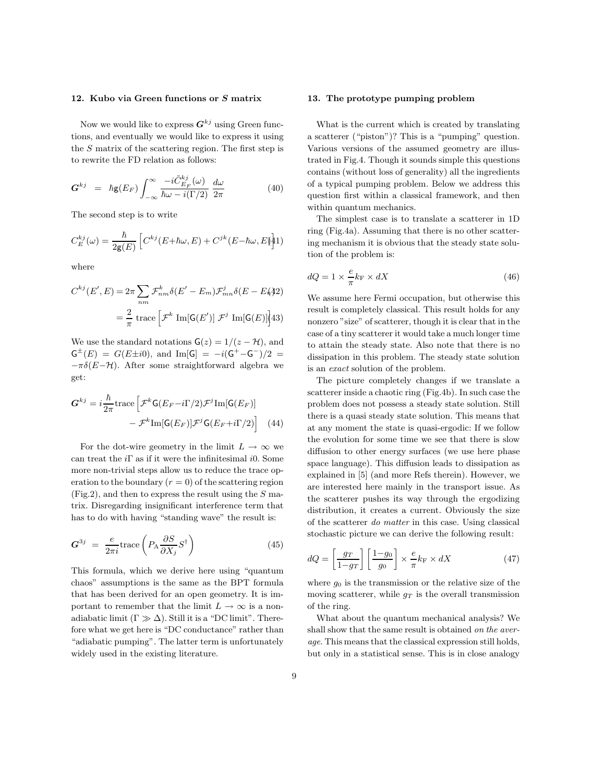#### 12. Kubo via Green functions or S matrix

Now we would like to express  $G^{kj}$  using Green functions, and eventually we would like to express it using the S matrix of the scattering region. The first step is to rewrite the FD relation as follows:

$$
\mathbf{G}^{kj} = \hbar \mathbf{g}(E_F) \int_{-\infty}^{\infty} \frac{-i \tilde{C}_{E_F}^{kj}(\omega)}{\hbar \omega - i(\Gamma/2)} \frac{d\omega}{2\pi}
$$
(40)

The second step is to write

$$
C_E^{kj}(\omega) = \frac{\hbar}{2\mathsf{g}(E)} \left[ C^{kj}(E + \hbar \omega, E) + C^{jk}(E - \hbar \omega, E) \right].
$$

where

$$
C^{kj}(E', E) = 2\pi \sum_{nm} \mathcal{F}^k_{nm} \delta(E' - E_m) \mathcal{F}^j_{mn} \delta(E - E_k) \tag{42}
$$
\n
$$
= \frac{2}{\pi} \operatorname{trace} \left[ \mathcal{F}^k \operatorname{Im}[\mathsf{G}(E')] \mathcal{F}^j \operatorname{Im}[\mathsf{G}(E)] \right] \tag{43}
$$

We use the standard notations  $G(z) = 1/(z - H)$ , and  $G^{\pm}(E) = G(E \pm i0)$ , and Im[G] =  $-i(G^{+} - G^{-})/2$  =  $-\pi\delta(E-\mathcal{H})$ . After some straightforward algebra we get:

$$
G^{kj} = i\frac{\hbar}{2\pi} \text{trace}\left[\mathcal{F}^k G(E_F - i\Gamma/2) \mathcal{F}^j \text{Im}[G(E_F)]\right.\
$$

$$
- \mathcal{F}^k \text{Im}[G(E_F)] \mathcal{F}^j G(E_F + i\Gamma/2)\right] \quad (44)
$$

For the dot-wire geometry in the limit  $L \to \infty$  we can treat the  $i\Gamma$  as if it were the infinitesimal i0. Some more non-trivial steps allow us to reduce the trace operation to the boundary  $(r = 0)$  of the scattering region  $(Fig.2)$ , and then to express the result using the S matrix. Disregarding insignificant interference term that has to do with having "standing wave" the result is:

$$
G^{3j} = \frac{e}{2\pi i} \text{trace}\left(P_{A} \frac{\partial S}{\partial X_{j}} S^{\dagger}\right)
$$
(45)

This formula, which we derive here using "quantum chaos" assumptions is the same as the BPT formula that has been derived for an open geometry. It is important to remember that the limit  $L \to \infty$  is a nonadiabatic limit  $(\Gamma \gg \Delta)$ . Still it is a "DC limit". Therefore what we get here is "DC conductance" rather than "adiabatic pumping". The latter term is unfortunately widely used in the existing literature.

#### 13. The prototype pumping problem

What is the current which is created by translating a scatterer ("piston")? This is a "pumping" question. Various versions of the assumed geometry are illustrated in Fig.4. Though it sounds simple this questions contains (without loss of generality) all the ingredients of a typical pumping problem. Below we address this question first within a classical framework, and then within quantum mechanics.

The simplest case is to translate a scatterer in 1D ring (Fig.4a). Assuming that there is no other scattering mechanism it is obvious that the steady state solution of the problem is:

$$
dQ = 1 \times \frac{e}{\pi} k_{\rm F} \times dX \tag{46}
$$

We assume here Fermi occupation, but otherwise this result is completely classical. This result holds for any nonzero "size" of scatterer, though it is clear that in the case of a tiny scatterer it would take a much longer time to attain the steady state. Also note that there is no dissipation in this problem. The steady state solution is an exact solution of the problem.

The picture completely changes if we translate a scatterer inside a chaotic ring (Fig.4b). In such case the problem does not possess a steady state solution. Still there is a quasi steady state solution. This means that at any moment the state is quasi-ergodic: If we follow the evolution for some time we see that there is slow diffusion to other energy surfaces (we use here phase space language). This diffusion leads to dissipation as explained in [5] (and more Refs therein). However, we are interested here mainly in the transport issue. As the scatterer pushes its way through the ergodizing distribution, it creates a current. Obviously the size of the scatterer do matter in this case. Using classical stochastic picture we can derive the following result:

$$
dQ = \left[\frac{g_T}{1 - g_T}\right] \left[\frac{1 - g_0}{g_0}\right] \times \frac{e}{\pi} k_{\rm F} \times dX \tag{47}
$$

where  $g_0$  is the transmission or the relative size of the moving scatterer, while  $q_T$  is the overall transmission of the ring.

What about the quantum mechanical analysis? We shall show that the same result is obtained on the average. This means that the classical expression still holds, but only in a statistical sense. This is in close analogy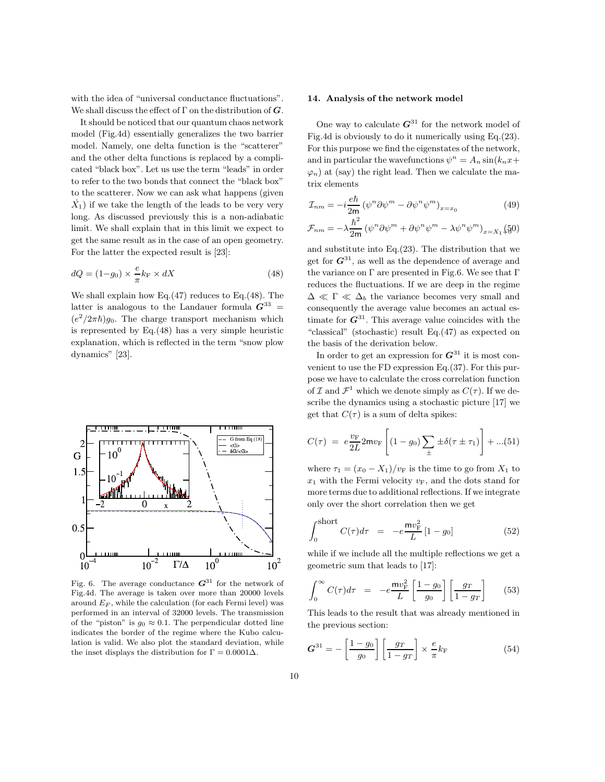with the idea of "universal conductance fluctuations". We shall discuss the effect of  $\Gamma$  on the distribution of  $G$ .

It should be noticed that our quantum chaos network model (Fig.4d) essentially generalizes the two barrier model. Namely, one delta function is the "scatterer" and the other delta functions is replaced by a complicated "black box". Let us use the term "leads" in order to refer to the two bonds that connect the "black box" to the scatterer. Now we can ask what happens (given  $\dot{X_1}$ ) if we take the length of the leads to be very very long. As discussed previously this is a non-adiabatic limit. We shall explain that in this limit we expect to get the same result as in the case of an open geometry. For the latter the expected result is [23]:

$$
dQ = (1 - g_0) \times \frac{e}{\pi} k_{\rm F} \times dX \tag{48}
$$

We shall explain how Eq. $(47)$  reduces to Eq. $(48)$ . The latter is analogous to the Landauer formula  $G^{33}$  =  $(e^2/2\pi\hbar)g_0$ . The charge transport mechanism which is represented by Eq.(48) has a very simple heuristic explanation, which is reflected in the term "snow plow dynamics" [23].



Fig. 6. The average conductance  $\mathbf{G}^{31}$  for the network of Fig.4d. The average is taken over more than 20000 levels around  $E_F$ , while the calculation (for each Fermi level) was performed in an interval of 32000 levels. The transmission of the "piston" is  $g_0 \approx 0.1$ . The perpendicular dotted line indicates the border of the regime where the Kubo calculation is valid. We also plot the standard deviation, while the inset displays the distribution for  $\Gamma = 0.0001\Delta$ .

### 14. Analysis of the network model

One way to calculate  $G^{31}$  for the network model of Fig.4d is obviously to do it numerically using Eq.(23). For this purpose we find the eigenstates of the network, and in particular the wavefunctions  $\psi^n = A_n \sin(k_n x + \psi)$  $\varphi_n$ ) at (say) the right lead. Then we calculate the matrix elements

$$
\mathcal{I}_{nm} = -i\frac{e\hbar}{2m} \left(\psi^n \partial \psi^m - \partial \psi^n \psi^m\right)_{x=x_0} \tag{49}
$$

$$
\mathcal{F}_{nm} = -\lambda \frac{\hbar^2}{2m} \left( \psi^n \partial \psi^m + \partial \psi^n \psi^m - \lambda \psi^n \psi^m \right)_{x=X_1} (\frac{5}{60})
$$

and substitute into Eq.(23). The distribution that we get for  $G^{31}$ , as well as the dependence of average and the variance on  $\Gamma$  are presented in Fig.6. We see that  $\Gamma$ reduces the fluctuations. If we are deep in the regime  $\Delta \ll \Gamma \ll \Delta_b$  the variance becomes very small and consequently the average value becomes an actual estimate for  $G^{31}$ . This average value coincides with the "classical" (stochastic) result Eq.(47) as expected on the basis of the derivation below.

In order to get an expression for  $G^{31}$  it is most convenient to use the FD expression Eq.(37). For this purpose we have to calculate the cross correlation function of  $\mathcal I$  and  $\mathcal F^1$  which we denote simply as  $C(\tau)$ . If we describe the dynamics using a stochastic picture [17] we get that  $C(\tau)$  is a sum of delta spikes:

$$
C(\tau) = e^{\nu_{\text{F}}}{2L}2\text{m}v_{\text{F}}\left[ (1 - g_0) \sum_{\pm} \pm \delta(\tau \pm \tau_1) \right] + ... (51)
$$

where  $\tau_1 = (x_0 - X_1)/v_F$  is the time to go from  $X_1$  to  $x_1$  with the Fermi velocity  $v_F$ , and the dots stand for more terms due to additional reflections. If we integrate only over the short correlation then we get

$$
\int_0^{\text{short}} C(\tau)d\tau = -e^{\frac{\mathbf{m}v_{\text{F}}^2}{L}}[1-g_0] \tag{52}
$$

while if we include all the multiple reflections we get a geometric sum that leads to [17]:

$$
\int_0^\infty C(\tau)d\tau = -e\frac{mv_{\rm F}^2}{L}\left[\frac{1-g_0}{g_0}\right]\left[\frac{gr}{1-g_T}\right] \tag{53}
$$

This leads to the result that was already mentioned in the previous section:

$$
G^{31} = -\left[\frac{1 - g_0}{g_0}\right] \left[\frac{g_T}{1 - g_T}\right] \times \frac{e}{\pi} k_\text{F}
$$
 (54)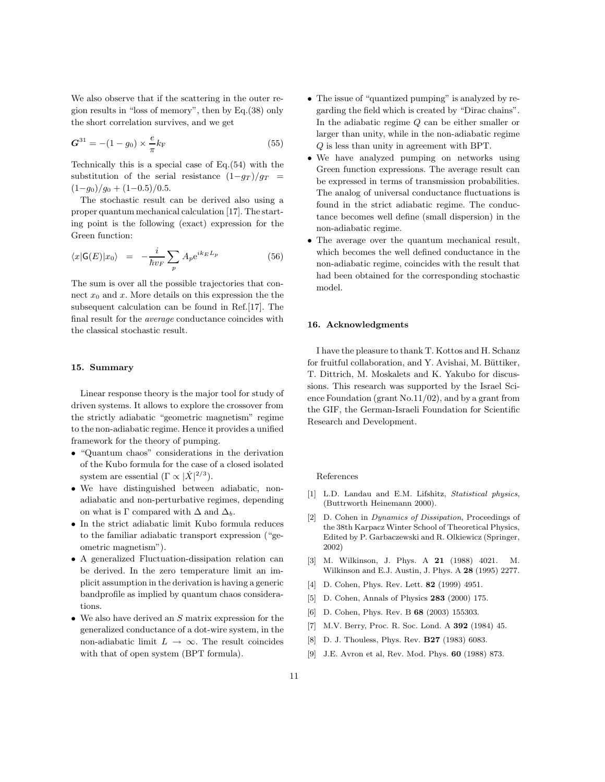We also observe that if the scattering in the outer region results in "loss of memory", then by Eq.(38) only the short correlation survives, and we get

$$
G^{31} = -(1 - g_0) \times \frac{e}{\pi} k_{\rm F}
$$
 (55)

Technically this is a special case of Eq.(54) with the substitution of the serial resistance  $(1-q_T)/q_T$  =  $(1-g_0)/g_0 + (1-0.5)/0.5$ .

The stochastic result can be derived also using a proper quantum mechanical calculation [17]. The starting point is the following (exact) expression for the Green function:

$$
\langle x|\mathsf{G}(E)|x_0\rangle = -\frac{i}{\hbar v_F} \sum_p A_p e^{ik_E L_p} \tag{56}
$$

The sum is over all the possible trajectories that connect  $x_0$  and x. More details on this expression the the subsequent calculation can be found in Ref.[17]. The final result for the average conductance coincides with the classical stochastic result.

### 15. Summary

Linear response theory is the major tool for study of driven systems. It allows to explore the crossover from the strictly adiabatic "geometric magnetism" regime to the non-adiabatic regime. Hence it provides a unified framework for the theory of pumping.

- "Quantum chaos" considerations in the derivation of the Kubo formula for the case of a closed isolated system are essential  $(\Gamma \propto |\dot{X}|^{2/3})$ .
- We have distinguished between adiabatic, nonadiabatic and non-perturbative regimes, depending on what is  $\Gamma$  compared with  $\Delta$  and  $\Delta_b$ .
- In the strict adiabatic limit Kubo formula reduces to the familiar adiabatic transport expression ("geometric magnetism").
- A generalized Fluctuation-dissipation relation can be derived. In the zero temperature limit an implicit assumption in the derivation is having a generic bandprofile as implied by quantum chaos considerations.
- We also have derived an  $S$  matrix expression for the generalized conductance of a dot-wire system, in the non-adiabatic limit  $L \rightarrow \infty$ . The result coincides with that of open system (BPT formula).
- The issue of "quantized pumping" is analyzed by regarding the field which is created by "Dirac chains". In the adiabatic regime Q can be either smaller or larger than unity, while in the non-adiabatic regime Q is less than unity in agreement with BPT.
- We have analyzed pumping on networks using Green function expressions. The average result can be expressed in terms of transmission probabilities. The analog of universal conductance fluctuations is found in the strict adiabatic regime. The conductance becomes well define (small dispersion) in the non-adiabatic regime.
- The average over the quantum mechanical result, which becomes the well defined conductance in the non-adiabatic regime, coincides with the result that had been obtained for the corresponding stochastic model.

### 16. Acknowledgments

I have the pleasure to thank T. Kottos and H. Schanz for fruitful collaboration, and Y. Avishai, M. Büttiker, T. Dittrich, M. Moskalets and K. Yakubo for discussions. This research was supported by the Israel Science Foundation (grant No.11/02), and by a grant from the GIF, the German-Israeli Foundation for Scientific Research and Development.

#### References

- [1] L.D. Landau and E.M. Lifshitz, Statistical physics, (Buttrworth Heinemann 2000).
- [2] D. Cohen in Dynamics of Dissipation, Proceedings of the 38th Karpacz Winter School of Theoretical Physics, Edited by P. Garbaczewski and R. Olkiewicz (Springer, 2002)
- [3] M. Wilkinson, J. Phys. A 21 (1988) 4021. M. Wilkinson and E.J. Austin, J. Phys. A 28 (1995) 2277.
- [4] D. Cohen, Phys. Rev. Lett. 82 (1999) 4951.
- [5] D. Cohen, Annals of Physics 283 (2000) 175.
- [6] D. Cohen, Phys. Rev. B 68 (2003) 155303.
- [7] M.V. Berry, Proc. R. Soc. Lond. A 392 (1984) 45.
- [8] D. J. Thouless, Phys. Rev. **B27** (1983) 6083.
- [9] J.E. Avron et al, Rev. Mod. Phys. 60 (1988) 873.